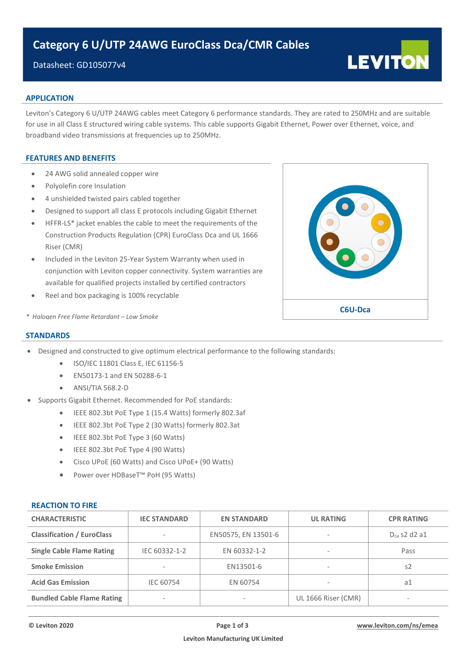# Datasheet: GD105077v4

# **APPLICATION**

Leviton's Category 6 U/UTP 24AWG cables meet Category 6 performance standards. They are rated to 250MHz and are suitable for use in all Class E structured wiring cable systems. This cable supports Gigabit Ethernet, Power over Ethernet, voice, and broadband video transmissions at frequencies up to 250MHz.

## **FEATURES AND BENEFITS**

- 24 AWG solid annealed copper wire
- Polyolefin core Insulation
- 4 unshielded twisted pairs cabled together
- Designed to support all class E protocols including Gigabit Ethernet
- HFFR-LS\* jacket enables the cable to meet the requirements of the Construction Products Regulation (CPR) EuroClass Dca and UL 1666 Riser (CMR)
- Included in the Leviton 25-Year System Warranty when used in conjunction with Leviton copper connectivity. System warranties are available for qualified projects installed by certified contractors
- Reel and box packaging is 100% recyclable



**LEVITON** 

*\* Halogen Free Flame Retardant – Low Smoke*

### **STANDARDS**

- Designed and constructed to give optimum electrical performance to the following standards:
	- ISO/IEC 11801 Class E, IEC 61156-5
	- EN50173-1 and EN 50288-6-1
	- ANSI/TIA 568.2-D
- Supports Gigabit Ethernet. Recommended for PoE standards:
	- IEEE 802.3bt PoE Type 1 (15.4 Watts) formerly 802.3af
	- IEEE 802.3bt PoE Type 2 (30 Watts) formerly 802.3at
	- IEEE 802.3bt PoE Type 3 (60 Watts)
	- IEEE 802.3bt PoE Type 4 (90 Watts)
	- Cisco UPoE (60 Watts) and Cisco UPoE+ (90 Watts)
	- Power over HDBaseT™ PoH (95 Watts)

### **REACTION TO FIRE**

| <b>CHARACTERISTIC</b>             | <b>IEC STANDARD</b>           | <b>EN STANDARD</b>  | <b>UL RATING</b>         | <b>CPR RATING</b> |  |
|-----------------------------------|-------------------------------|---------------------|--------------------------|-------------------|--|
| <b>Classification / EuroClass</b> | $\,$                          | EN50575, EN 13501-6 | $\sim$                   | $D_{ca}$ s2 d2 a1 |  |
| <b>Single Cable Flame Rating</b>  | EN 60332-1-2<br>IEC 60332-1-2 |                     | $\overline{\phantom{a}}$ | Pass              |  |
| <b>Smoke Emission</b>             | $\overline{\phantom{a}}$      | EN13501-6           | $\sim$                   | s2                |  |
| <b>Acid Gas Emission</b>          | <b>IEC 60754</b>              | EN 60754            | $\sim$                   | a1                |  |
| <b>Bundled Cable Flame Rating</b> | $\overline{\phantom{a}}$      | $\sim$              | UL 1666 Riser (CMR)      |                   |  |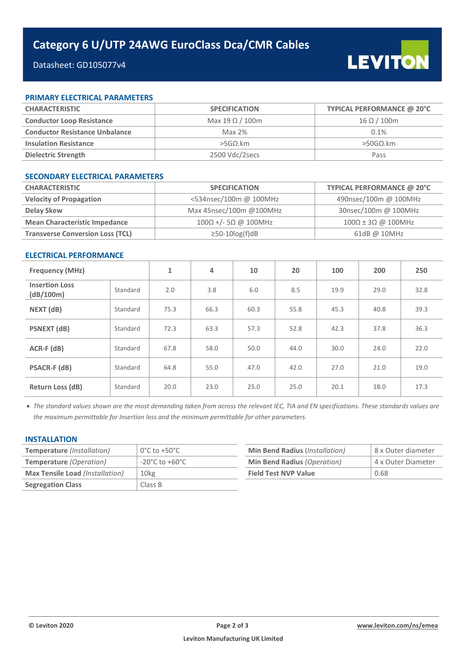# Datasheet: GD105077v4

## **PRIMARY ELECTRICAL PARAMETERS**

| <b>CHARACTERISTIC</b>                 | <b>SPECIFICATION</b>   | TYPICAL PERFORMANCE @ 20°C |  |  |
|---------------------------------------|------------------------|----------------------------|--|--|
| <b>Conductor Loop Resistance</b>      | Max 19 $\Omega$ / 100m | $16 \Omega / 100$ m        |  |  |
| <b>Conductor Resistance Unbalance</b> | Max $2%$               | 0.1%                       |  |  |
| <b>Insulation Resistance</b>          | $>5$ GO.km             | $>$ 50GΩ.km                |  |  |
| Dielectric Strength                   | 2500 Vdc/2secs         | Pass                       |  |  |

### **SECONDARY ELECTRICAL PARAMETERS**

| <b>CHARACTERISTIC</b>                   | <b>SPECIFICATION</b>                | TYPICAL PERFORMANCE @ 20°C |  |  |
|-----------------------------------------|-------------------------------------|----------------------------|--|--|
| <b>Velocity of Propagation</b>          | <534nsec/100m @ 100MHz              | 490nsec/100m @ 100MHz      |  |  |
| Delay Skew                              | Max 45nsec/100m @100MHz             | 30nsec/100m @ 100MHz       |  |  |
| <b>Mean Characteristic Impedance</b>    | $100\Omega$ +/- 5 $\Omega$ @ 100MHz | 100Ω ± 3Ω @ 100MHz         |  |  |
| <b>Transverse Conversion Loss (TCL)</b> | $\geq$ 50-10 $log(f)dB$             | 61dB @ 10MHz               |  |  |

## **ELECTRICAL PERFORMANCE**

| <b>Frequency (MHz)</b>             |          | 1    | 4    | 10   | 20   | 100  | 200  | 250  |
|------------------------------------|----------|------|------|------|------|------|------|------|
| <b>Insertion Loss</b><br>(dB/100m) | Standard | 2.0  | 3.8  | 6.0  | 8.5  | 19.9 | 29.0 | 32.8 |
| NEXT (dB)                          | Standard | 75.3 | 66.3 | 60.3 | 55.8 | 45.3 | 40.8 | 39.3 |
| <b>PSNEXT</b> (dB)                 | Standard | 72.3 | 63.3 | 57.3 | 52.8 | 42.3 | 37.8 | 36.3 |
| $ACR-F$ ( $dB$ )                   | Standard | 67.8 | 58.0 | 50.0 | 44.0 | 30.0 | 24.0 | 22.0 |
| <b>PSACR-F (dB)</b>                | Standard | 64.8 | 55.0 | 47.0 | 42.0 | 27.0 | 21.0 | 19.0 |
| <b>Return Loss (dB)</b>            | Standard | 20.0 | 23.0 | 25.0 | 25.0 | 20.1 | 18.0 | 17.3 |

• *The standard values shown are the most demanding taken from across the relevant IEC, TIA and EN specifications. These standards values are the maximum permittable for Insertion loss and the minimum permittable for other parameters.*

### **INSTALLATION**

| <b>Temperature</b> (Installation)      | $0^{\circ}$ C to +50 $^{\circ}$ C  | <b>Min Bend Radius (Installation)</b> | 8 x Outer diameter |
|----------------------------------------|------------------------------------|---------------------------------------|--------------------|
| <b>Temperature</b> (Operation)         | $-20^{\circ}$ C to $+60^{\circ}$ C | Min Bend Radius (Operation)           | 4 x Outer Diameter |
| <b>Max Tensile Load (Installation)</b> | 10 <sub>kg</sub>                   | <b>Field Test NVP Value</b>           | 0.68               |
| <b>Segregation Class</b>               | Class B                            |                                       |                    |